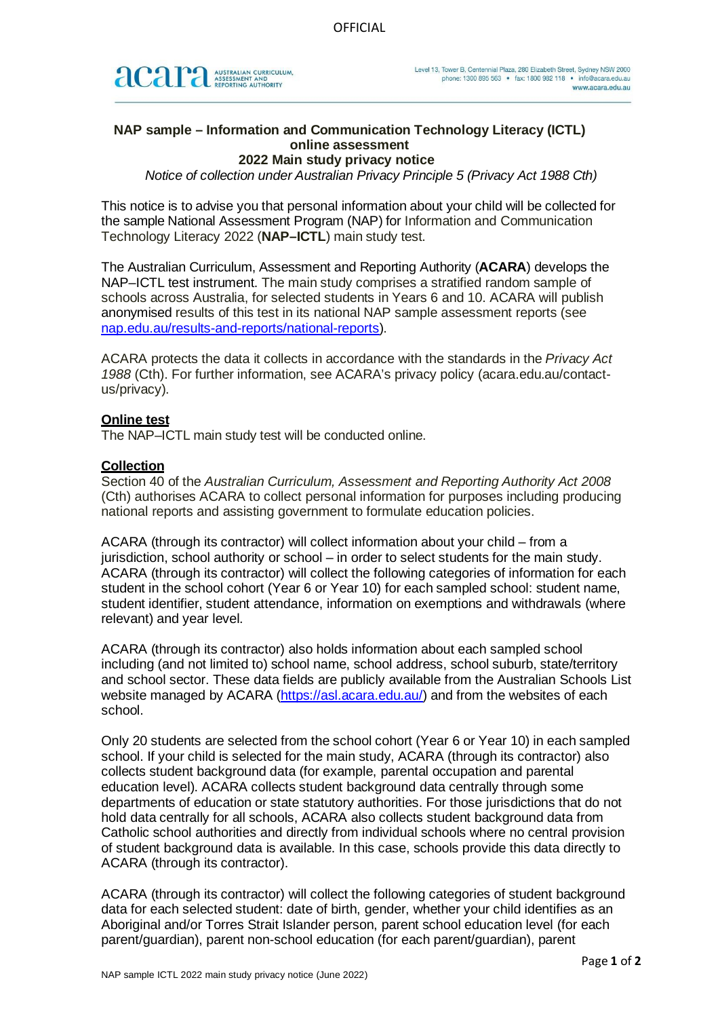

# **NAP sample – Information and Communication Technology Literacy (ICTL) online assessment**

## **2022 Main study privacy notice**

*Notice of collection under Australian Privacy Principle 5 (Privacy Act 1988 Cth)*

This notice is to advise you that personal information about your child will be collected for the sample National Assessment Program (NAP) for Information and Communication Technology Literacy 2022 (**NAP–ICTL**) main study test.

The Australian Curriculum, Assessment and Reporting Authority (**ACARA**) develops the NAP–ICTL test instrument. The main study comprises a stratified random sample of schools across Australia, for selected students in Years 6 and 10. ACARA will publish anonymised results of this test in its national NAP sample assessment reports (see [nap.edu.au/results-and-reports/national-reports\)](https://www.nap.edu.au/results-and-reports/national-reports).

ACARA protects the data it collects in accordance with the standards in the *Privacy Act 1988* (Cth). For further information, see ACARA's privacy policy (acara.edu.au/contactus/privacy).

### **Online test**

The NAP–ICTL main study test will be conducted online.

# **Collection**

Section 40 of the *Australian Curriculum, Assessment and Reporting Authority Act 2008* (Cth) authorises ACARA to collect personal information for purposes including producing national reports and assisting government to formulate education policies.

ACARA (through its contractor) will collect information about your child – from a jurisdiction, school authority or school – in order to select students for the main study. ACARA (through its contractor) will collect the following categories of information for each student in the school cohort (Year 6 or Year 10) for each sampled school: student name, student identifier, student attendance, information on exemptions and withdrawals (where relevant) and year level.

ACARA (through its contractor) also holds information about each sampled school including (and not limited to) school name, school address, school suburb, state/territory and school sector. These data fields are publicly available from the Australian Schools List website managed by ACARA [\(https://asl.acara.edu.au/\)](https://asl.acara.edu.au/) and from the websites of each school.

Only 20 students are selected from the school cohort (Year 6 or Year 10) in each sampled school. If your child is selected for the main study, ACARA (through its contractor) also collects student background data (for example, parental occupation and parental education level). ACARA collects student background data centrally through some departments of education or state statutory authorities. For those jurisdictions that do not hold data centrally for all schools, ACARA also collects student background data from Catholic school authorities and directly from individual schools where no central provision of student background data is available. In this case, schools provide this data directly to ACARA (through its contractor).

ACARA (through its contractor) will collect the following categories of student background data for each selected student: date of birth, gender, whether your child identifies as an Aboriginal and/or Torres Strait Islander person, parent school education level (for each parent/guardian), parent non-school education (for each parent/guardian), parent